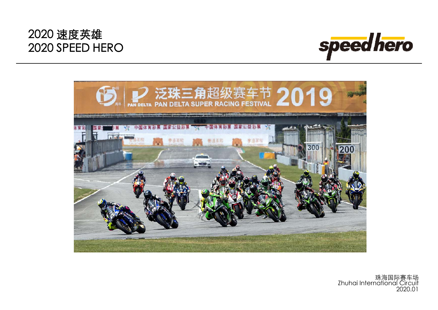



珠海国际赛车场 Zhuhai International Circuit 2020.01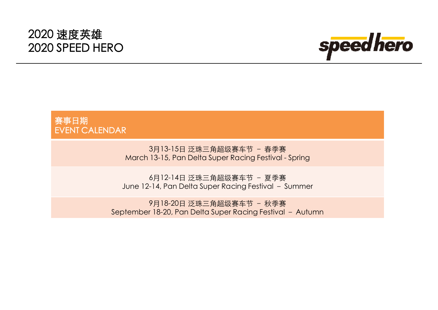

#### 赛事日期 EVENT CALENDAR

3月13-15日 泛珠三角超级赛车节 – 春季赛 March 13-15, Pan Delta Super Racing Festival - Spring

6月12-14日 泛珠三角超级赛车节 – 夏季赛 June 12-14, Pan Delta Super Racing Festival - Summer

9月18-20日 泛珠三角超级赛车节 – 秋季赛 September 18-20, Pan Delta Super Racing Festival – Autumn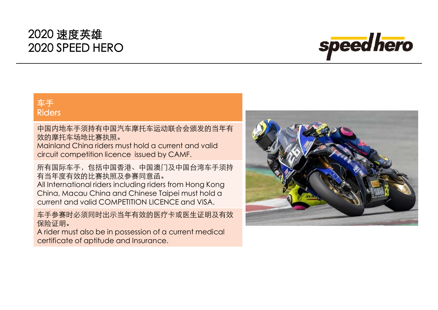

#### 车手 Riders

中国内地车手须持有中国汽车摩托车运动联合会颁发的当年有 效的摩托车场地比赛执照。

Mainland China riders must hold a current and valid circuit competition licence issued by CAMF.

所有国际车手,包括中国香港、中国澳门及中国台湾车手须持 有当年度有效的比赛执照及参赛同意函。 All International riders including riders from Hong Kong China, Macau China and Chinese Taipei must hold a current and valid COMPETITION LICENCE and VISA.

车手参赛时必须同时出示当年有效的医疗卡或医生证明及有效 保险证明。

A rider must also be in possession of a current medical certificate of aptitude and Insurance.

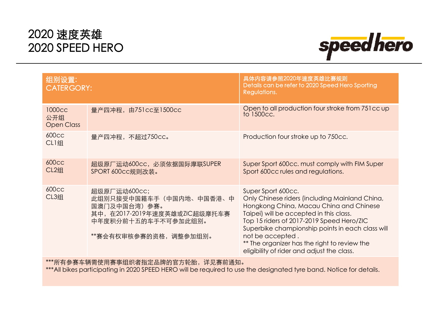

| <b>CATERGORY:</b>                                                                                                                         | 具体内容请参照2020年速度英雄比赛规则<br>Details can be refer to 2020 Speed Hero Sporting<br>Regulations.                                                                                                                                                                                                                                                                                      |  |
|-------------------------------------------------------------------------------------------------------------------------------------------|-------------------------------------------------------------------------------------------------------------------------------------------------------------------------------------------------------------------------------------------------------------------------------------------------------------------------------------------------------------------------------|--|
| 量产四冲程, 由751cc至1500cc                                                                                                                      | Open to all production four stroke from 751 cc up<br>to 1500cc.                                                                                                                                                                                                                                                                                                               |  |
| 量产四冲程, 不超过750cc。                                                                                                                          | Production four stroke up to 750cc.                                                                                                                                                                                                                                                                                                                                           |  |
| 超级原厂运动600cc, 必须依据国际摩联SUPER<br>SPORT 600cc规则改装。                                                                                            | Super Sport 600cc. must comply with FIM Super<br>Sport 600cc rules and regulations.                                                                                                                                                                                                                                                                                           |  |
| 超级原厂运动600cc;<br>此组别只接受中国籍车手(中国内地、中国香港、中<br>国澳门及中国台湾) 参赛。<br>其中, 在2017-2019年速度英雄或ZIC超级摩托车赛<br>中年度积分前十五的车手不可参加此组别。<br>**赛会有权审核参赛的资格,调整参加组别。 | Super Sport 600cc.<br>Only Chinese riders (including Mainland China,<br>Hongkong China, Macau China and Chinese<br>Taipei) will be accepted in this class.<br>Top 15 riders of 2017-2019 Speed Hero/ZIC<br>Superbike championship points in each class will<br>not be accepted.<br>** The organizer has the right to review the<br>eligibility of rider and adjust the class. |  |
|                                                                                                                                           |                                                                                                                                                                                                                                                                                                                                                                               |  |

\*\*\*所有参赛车辆需使用赛事组织者指定品牌的官方轮胎,详见赛前通知。

\*\*\*All bikes participating in 2020 SPEED HERO will be required to use the designated tyre band. Notice for details.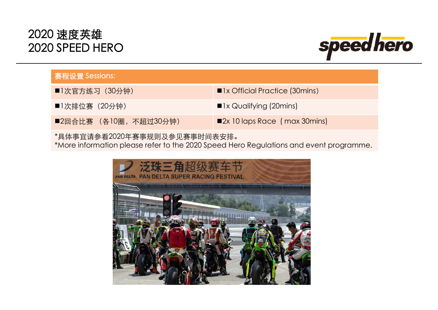

| 赛程设置 Sessions:               |                                       |  |
|------------------------------|---------------------------------------|--|
| ■1次官方练习 (30分钟)               | ■1x Official Practice (30mins)        |  |
| ■1次排位赛(20分钟)                 | $\blacksquare$ 1x Qualifying (20mins) |  |
| ■2回合比赛 (各10圈,不超过30分钟)        | ■2x 10 laps Race (max 30 mins)        |  |
| *具体事宜请参看2020年赛事规则及参见赛事时间表安排。 |                                       |  |

\*More information please refer to the 2020 Speed Hero Regulations and event programme.

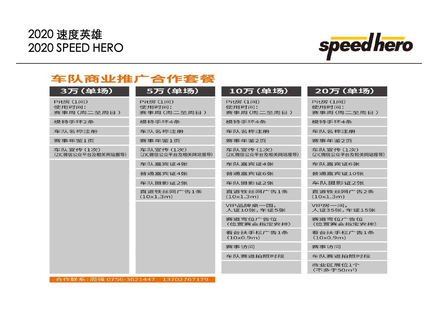

#### 车队商业推广合作套餐

| 3万(单场)                           | 5万 (单场)                          | 10万 (单场)                         | 20万 (单场)                          |
|----------------------------------|----------------------------------|----------------------------------|-----------------------------------|
| Pit房 (1间)<br>使用时间:<br>赛事周(周二至周日) | Pit房 (1间)<br>使用时间:<br>赛事周(周二至周日) | Pit房 (1间)<br>使用时间:<br>赛事周(周二至周日) | Pit房 (1间)<br>使用时间:<br>赛事周(周二至周日)  |
| 模特手环2条                           | 模特手环4条                           | 模特手环4条                           | 模特手环4条                            |
| 车队名称注册                           | 车队名称注册                           | 车队名称注册                           | 车队名称注册                            |
| 赛事年鉴1页                           | 赛事年鉴1页                           | 赛事年鉴2页                           | 赛事年鉴2页                            |
| 车队宣传(1次)<br>(ZIC微信公众平台及相关网站报导)   | 车队宣传(1次)<br>(ZIC微信公众平台及相关网站报导)   | 车队宣传(1次)<br>(ZIC微信公众平台及相关网站报导)   | 车队宣传(1次)<br>(ZIC微信公众平台及相关网站报导)    |
|                                  | 车队嘉宾证4张                          | 车队嘉宾证4张                          | 车队嘉宾证6张                           |
|                                  | 普通嘉宾证4张                          | 普通嘉宾证6张                          | 普通嘉宾证10张                          |
|                                  | 车队摄影证2张                          | 车队摄影证2张                          | 车队摄影证2张                           |
|                                  | 直道铁丝网广告1条<br>(10x1.3m)           | 直道铁丝网广告1条<br>(10x1.3m)           | 直道铁丝网广告2条<br>(10x1.3m)            |
|                                  |                                  | VIP品牌桌一围,<br>人证10张,车证5张          | VIP房一间,<br>人证35张,车证15张            |
|                                  |                                  | 赛道弯位广告位<br>(位置赛会指定安排)            | 赛道弯位广告位<br>(位置赛会指定安排)             |
|                                  |                                  | 看台扶手栏广告1条<br>(10x0.9m)           | 看台扶手栏广告1条<br>(10x0.9m)            |
|                                  |                                  | 赛事访问                             | 赛事访问                              |
|                                  |                                  | 车队赛道拍照时段                         | 车队赛道拍照时段                          |
|                                  |                                  |                                  | 商业区展位1个<br>(不多于50m <sup>2</sup> ) |

合作联系: 周强 0756-3621447 13702767179